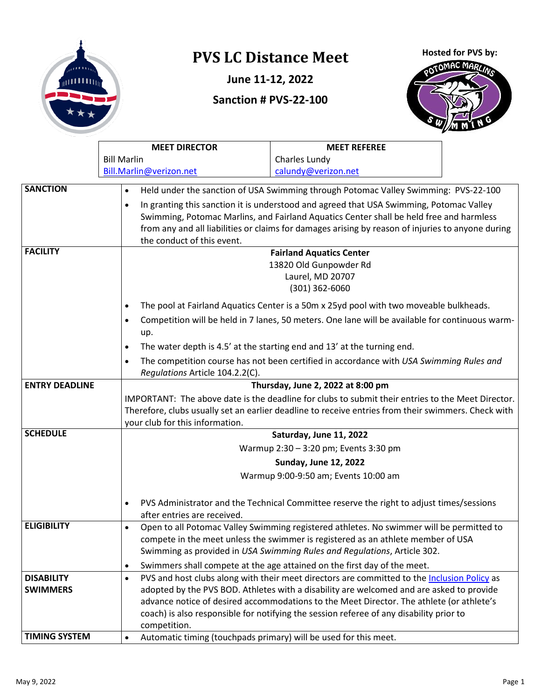

# **PVS LC Distance Meet**

**June 11-12, 2022**

### **Sanction # PVS-22-100**

Hosted for PVS by:



|                                                            | <b>MEET DIRECTOR</b>                                                                    | <b>MEET REFEREE</b>                                                                                 |  |  |  |
|------------------------------------------------------------|-----------------------------------------------------------------------------------------|-----------------------------------------------------------------------------------------------------|--|--|--|
|                                                            | <b>Bill Marlin</b>                                                                      | Charles Lundy                                                                                       |  |  |  |
|                                                            | Bill.Marlin@verizon.net                                                                 | calundy@verizon.net                                                                                 |  |  |  |
| <b>SANCTION</b>                                            | $\bullet$                                                                               | Held under the sanction of USA Swimming through Potomac Valley Swimming: PVS-22-100                 |  |  |  |
|                                                            | $\bullet$                                                                               | In granting this sanction it is understood and agreed that USA Swimming, Potomac Valley             |  |  |  |
|                                                            |                                                                                         | Swimming, Potomac Marlins, and Fairland Aquatics Center shall be held free and harmless             |  |  |  |
|                                                            |                                                                                         | from any and all liabilities or claims for damages arising by reason of injuries to anyone during   |  |  |  |
|                                                            | the conduct of this event.                                                              |                                                                                                     |  |  |  |
| <b>FACILITY</b>                                            |                                                                                         | <b>Fairland Aquatics Center</b>                                                                     |  |  |  |
|                                                            |                                                                                         | 13820 Old Gunpowder Rd                                                                              |  |  |  |
|                                                            |                                                                                         | Laurel, MD 20707                                                                                    |  |  |  |
|                                                            |                                                                                         | $(301)$ 362-6060                                                                                    |  |  |  |
|                                                            | $\bullet$                                                                               | The pool at Fairland Aquatics Center is a 50m x 25yd pool with two moveable bulkheads.              |  |  |  |
|                                                            | $\bullet$                                                                               | Competition will be held in 7 lanes, 50 meters. One lane will be available for continuous warm-     |  |  |  |
|                                                            | up.                                                                                     | The water depth is 4.5' at the starting end and 13' at the turning end.                             |  |  |  |
|                                                            | $\bullet$                                                                               |                                                                                                     |  |  |  |
|                                                            | $\bullet$<br>Regulations Article 104.2.2(C).                                            | The competition course has not been certified in accordance with USA Swimming Rules and             |  |  |  |
| <b>ENTRY DEADLINE</b><br>Thursday, June 2, 2022 at 8:00 pm |                                                                                         |                                                                                                     |  |  |  |
|                                                            |                                                                                         | IMPORTANT: The above date is the deadline for clubs to submit their entries to the Meet Director.   |  |  |  |
|                                                            |                                                                                         | Therefore, clubs usually set an earlier deadline to receive entries from their swimmers. Check with |  |  |  |
|                                                            | your club for this information.                                                         |                                                                                                     |  |  |  |
| <b>SCHEDULE</b>                                            |                                                                                         | Saturday, June 11, 2022                                                                             |  |  |  |
|                                                            |                                                                                         | Warmup 2:30 - 3:20 pm; Events 3:30 pm                                                               |  |  |  |
|                                                            |                                                                                         | <b>Sunday, June 12, 2022</b>                                                                        |  |  |  |
|                                                            |                                                                                         | Warmup 9:00-9:50 am; Events 10:00 am                                                                |  |  |  |
|                                                            | $\bullet$                                                                               | PVS Administrator and the Technical Committee reserve the right to adjust times/sessions            |  |  |  |
|                                                            | after entries are received.                                                             |                                                                                                     |  |  |  |
| <b>ELIGIBILITY</b>                                         | $\bullet$                                                                               | Open to all Potomac Valley Swimming registered athletes. No swimmer will be permitted to            |  |  |  |
|                                                            |                                                                                         | compete in the meet unless the swimmer is registered as an athlete member of USA                    |  |  |  |
|                                                            |                                                                                         | Swimming as provided in USA Swimming Rules and Regulations, Article 302.                            |  |  |  |
|                                                            | $\bullet$                                                                               | Swimmers shall compete at the age attained on the first day of the meet.                            |  |  |  |
| <b>DISABILITY</b>                                          | $\bullet$                                                                               | PVS and host clubs along with their meet directors are committed to the Inclusion Policy as         |  |  |  |
| <b>SWIMMERS</b>                                            |                                                                                         | adopted by the PVS BOD. Athletes with a disability are welcomed and are asked to provide            |  |  |  |
|                                                            |                                                                                         | advance notice of desired accommodations to the Meet Director. The athlete (or athlete's            |  |  |  |
|                                                            | coach) is also responsible for notifying the session referee of any disability prior to |                                                                                                     |  |  |  |
|                                                            | competition.                                                                            |                                                                                                     |  |  |  |
| <b>TIMING SYSTEM</b>                                       | $\bullet$                                                                               | Automatic timing (touchpads primary) will be used for this meet.                                    |  |  |  |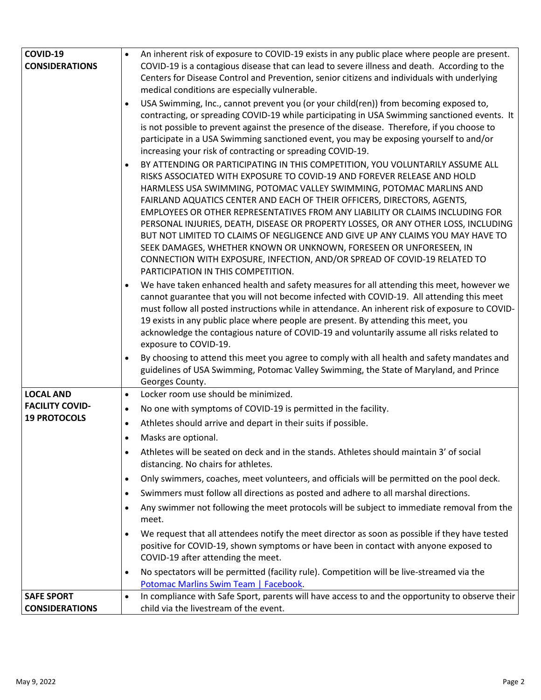| COVID-19                                   | An inherent risk of exposure to COVID-19 exists in any public place where people are present.                                                                                                                                                                                                                                                                                                                                                                                                                                                                                                                                                                                                                                                                |
|--------------------------------------------|--------------------------------------------------------------------------------------------------------------------------------------------------------------------------------------------------------------------------------------------------------------------------------------------------------------------------------------------------------------------------------------------------------------------------------------------------------------------------------------------------------------------------------------------------------------------------------------------------------------------------------------------------------------------------------------------------------------------------------------------------------------|
| <b>CONSIDERATIONS</b>                      | COVID-19 is a contagious disease that can lead to severe illness and death. According to the                                                                                                                                                                                                                                                                                                                                                                                                                                                                                                                                                                                                                                                                 |
|                                            | Centers for Disease Control and Prevention, senior citizens and individuals with underlying                                                                                                                                                                                                                                                                                                                                                                                                                                                                                                                                                                                                                                                                  |
|                                            | medical conditions are especially vulnerable.                                                                                                                                                                                                                                                                                                                                                                                                                                                                                                                                                                                                                                                                                                                |
|                                            | USA Swimming, Inc., cannot prevent you (or your child(ren)) from becoming exposed to,<br>contracting, or spreading COVID-19 while participating in USA Swimming sanctioned events. It<br>is not possible to prevent against the presence of the disease. Therefore, if you choose to<br>participate in a USA Swimming sanctioned event, you may be exposing yourself to and/or<br>increasing your risk of contracting or spreading COVID-19.                                                                                                                                                                                                                                                                                                                 |
|                                            | BY ATTENDING OR PARTICIPATING IN THIS COMPETITION, YOU VOLUNTARILY ASSUME ALL<br>RISKS ASSOCIATED WITH EXPOSURE TO COVID-19 AND FOREVER RELEASE AND HOLD<br>HARMLESS USA SWIMMING, POTOMAC VALLEY SWIMMING, POTOMAC MARLINS AND<br>FAIRLAND AQUATICS CENTER AND EACH OF THEIR OFFICERS, DIRECTORS, AGENTS,<br>EMPLOYEES OR OTHER REPRESENTATIVES FROM ANY LIABILITY OR CLAIMS INCLUDING FOR<br>PERSONAL INJURIES, DEATH, DISEASE OR PROPERTY LOSSES, OR ANY OTHER LOSS, INCLUDING<br>BUT NOT LIMITED TO CLAIMS OF NEGLIGENCE AND GIVE UP ANY CLAIMS YOU MAY HAVE TO<br>SEEK DAMAGES, WHETHER KNOWN OR UNKNOWN, FORESEEN OR UNFORESEEN, IN<br>CONNECTION WITH EXPOSURE, INFECTION, AND/OR SPREAD OF COVID-19 RELATED TO<br>PARTICIPATION IN THIS COMPETITION. |
|                                            | We have taken enhanced health and safety measures for all attending this meet, however we<br>cannot guarantee that you will not become infected with COVID-19. All attending this meet<br>must follow all posted instructions while in attendance. An inherent risk of exposure to COVID-<br>19 exists in any public place where people are present. By attending this meet, you<br>acknowledge the contagious nature of COVID-19 and voluntarily assume all risks related to<br>exposure to COVID-19.                                                                                                                                                                                                                                                       |
|                                            | By choosing to attend this meet you agree to comply with all health and safety mandates and<br>guidelines of USA Swimming, Potomac Valley Swimming, the State of Maryland, and Prince<br>Georges County.                                                                                                                                                                                                                                                                                                                                                                                                                                                                                                                                                     |
| <b>LOCAL AND</b>                           | Locker room use should be minimized.<br>$\bullet$                                                                                                                                                                                                                                                                                                                                                                                                                                                                                                                                                                                                                                                                                                            |
| <b>FACILITY COVID-</b>                     | No one with symptoms of COVID-19 is permitted in the facility.<br>$\bullet$                                                                                                                                                                                                                                                                                                                                                                                                                                                                                                                                                                                                                                                                                  |
| <b>19 PROTOCOLS</b>                        | Athletes should arrive and depart in their suits if possible.                                                                                                                                                                                                                                                                                                                                                                                                                                                                                                                                                                                                                                                                                                |
|                                            | Masks are optional.                                                                                                                                                                                                                                                                                                                                                                                                                                                                                                                                                                                                                                                                                                                                          |
|                                            | Athletes will be seated on deck and in the stands. Athletes should maintain 3' of social<br>distancing. No chairs for athletes.                                                                                                                                                                                                                                                                                                                                                                                                                                                                                                                                                                                                                              |
|                                            | Only swimmers, coaches, meet volunteers, and officials will be permitted on the pool deck.<br>$\bullet$                                                                                                                                                                                                                                                                                                                                                                                                                                                                                                                                                                                                                                                      |
|                                            | Swimmers must follow all directions as posted and adhere to all marshal directions.<br>$\bullet$                                                                                                                                                                                                                                                                                                                                                                                                                                                                                                                                                                                                                                                             |
|                                            | Any swimmer not following the meet protocols will be subject to immediate removal from the                                                                                                                                                                                                                                                                                                                                                                                                                                                                                                                                                                                                                                                                   |
|                                            | meet.                                                                                                                                                                                                                                                                                                                                                                                                                                                                                                                                                                                                                                                                                                                                                        |
|                                            | We request that all attendees notify the meet director as soon as possible if they have tested<br>positive for COVID-19, shown symptoms or have been in contact with anyone exposed to<br>COVID-19 after attending the meet.                                                                                                                                                                                                                                                                                                                                                                                                                                                                                                                                 |
|                                            | No spectators will be permitted (facility rule). Competition will be live-streamed via the<br>Potomac Marlins Swim Team   Facebook.                                                                                                                                                                                                                                                                                                                                                                                                                                                                                                                                                                                                                          |
| <b>SAFE SPORT</b><br><b>CONSIDERATIONS</b> | In compliance with Safe Sport, parents will have access to and the opportunity to observe their<br>$\bullet$<br>child via the livestream of the event.                                                                                                                                                                                                                                                                                                                                                                                                                                                                                                                                                                                                       |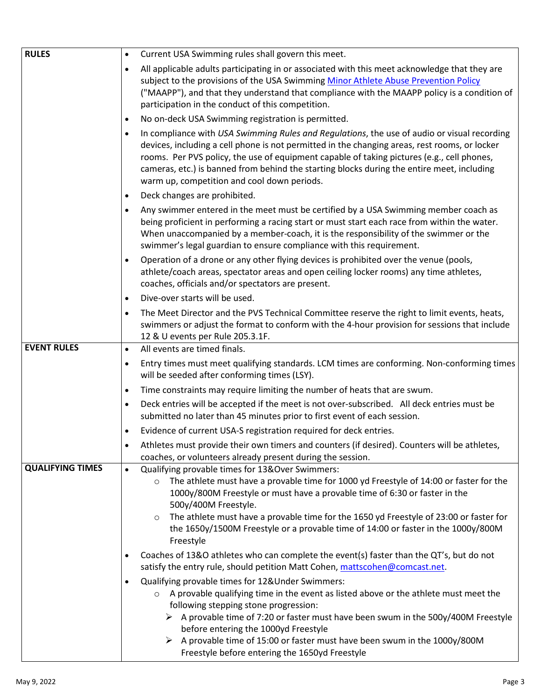| <b>RULES</b>            |           | Current USA Swimming rules shall govern this meet.                                                                                                                                                                                                                                                                                                                                                                                                                            |
|-------------------------|-----------|-------------------------------------------------------------------------------------------------------------------------------------------------------------------------------------------------------------------------------------------------------------------------------------------------------------------------------------------------------------------------------------------------------------------------------------------------------------------------------|
|                         | $\bullet$ |                                                                                                                                                                                                                                                                                                                                                                                                                                                                               |
|                         | $\bullet$ | All applicable adults participating in or associated with this meet acknowledge that they are<br>subject to the provisions of the USA Swimming Minor Athlete Abuse Prevention Policy<br>("MAAPP"), and that they understand that compliance with the MAAPP policy is a condition of<br>participation in the conduct of this competition.                                                                                                                                      |
|                         | $\bullet$ | No on-deck USA Swimming registration is permitted.                                                                                                                                                                                                                                                                                                                                                                                                                            |
|                         | $\bullet$ | In compliance with USA Swimming Rules and Regulations, the use of audio or visual recording<br>devices, including a cell phone is not permitted in the changing areas, rest rooms, or locker<br>rooms. Per PVS policy, the use of equipment capable of taking pictures (e.g., cell phones,<br>cameras, etc.) is banned from behind the starting blocks during the entire meet, including<br>warm up, competition and cool down periods.                                       |
|                         | $\bullet$ | Deck changes are prohibited.                                                                                                                                                                                                                                                                                                                                                                                                                                                  |
|                         | $\bullet$ | Any swimmer entered in the meet must be certified by a USA Swimming member coach as<br>being proficient in performing a racing start or must start each race from within the water.<br>When unaccompanied by a member-coach, it is the responsibility of the swimmer or the<br>swimmer's legal guardian to ensure compliance with this requirement.                                                                                                                           |
|                         | $\bullet$ | Operation of a drone or any other flying devices is prohibited over the venue (pools,<br>athlete/coach areas, spectator areas and open ceiling locker rooms) any time athletes,<br>coaches, officials and/or spectators are present.                                                                                                                                                                                                                                          |
|                         | $\bullet$ | Dive-over starts will be used.                                                                                                                                                                                                                                                                                                                                                                                                                                                |
|                         | $\bullet$ | The Meet Director and the PVS Technical Committee reserve the right to limit events, heats,<br>swimmers or adjust the format to conform with the 4-hour provision for sessions that include<br>12 & U events per Rule 205.3.1F.                                                                                                                                                                                                                                               |
| <b>EVENT RULES</b>      | $\bullet$ | All events are timed finals.                                                                                                                                                                                                                                                                                                                                                                                                                                                  |
|                         | $\bullet$ | Entry times must meet qualifying standards. LCM times are conforming. Non-conforming times<br>will be seeded after conforming times (LSY).                                                                                                                                                                                                                                                                                                                                    |
|                         | $\bullet$ | Time constraints may require limiting the number of heats that are swum.                                                                                                                                                                                                                                                                                                                                                                                                      |
|                         | $\bullet$ | Deck entries will be accepted if the meet is not over-subscribed. All deck entries must be<br>submitted no later than 45 minutes prior to first event of each session.                                                                                                                                                                                                                                                                                                        |
|                         | $\bullet$ | Evidence of current USA-S registration required for deck entries.                                                                                                                                                                                                                                                                                                                                                                                                             |
|                         | $\bullet$ | Athletes must provide their own timers and counters (if desired). Counters will be athletes,<br>coaches, or volunteers already present during the session.                                                                                                                                                                                                                                                                                                                    |
| <b>QUALIFYING TIMES</b> | $\bullet$ | Qualifying provable times for 13&Over Swimmers:<br>The athlete must have a provable time for 1000 yd Freestyle of 14:00 or faster for the<br>$\circ$<br>1000y/800M Freestyle or must have a provable time of 6:30 or faster in the<br>500y/400M Freestyle.<br>The athlete must have a provable time for the 1650 yd Freestyle of 23:00 or faster for<br>$\circ$<br>the 1650y/1500M Freestyle or a provable time of 14:00 or faster in the 1000y/800M<br>Freestyle             |
|                         | $\bullet$ | Coaches of 13&O athletes who can complete the event(s) faster than the QT's, but do not<br>satisfy the entry rule, should petition Matt Cohen, mattscohen@comcast.net.                                                                                                                                                                                                                                                                                                        |
|                         | $\bullet$ | Qualifying provable times for 12& Under Swimmers:<br>A provable qualifying time in the event as listed above or the athlete must meet the<br>$\circ$<br>following stepping stone progression:<br>$\triangleright$ A provable time of 7:20 or faster must have been swum in the 500y/400M Freestyle<br>before entering the 1000yd Freestyle<br>A provable time of 15:00 or faster must have been swum in the 1000y/800M<br>➤<br>Freestyle before entering the 1650yd Freestyle |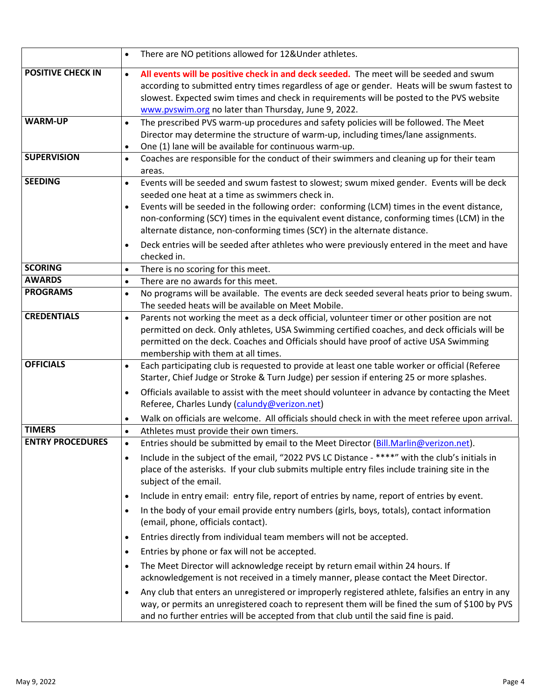|                          | There are NO petitions allowed for 12&Under athletes.<br>$\bullet$                                                                                                                                                                                                                                                                                                                                                                                                                                                                                                          |
|--------------------------|-----------------------------------------------------------------------------------------------------------------------------------------------------------------------------------------------------------------------------------------------------------------------------------------------------------------------------------------------------------------------------------------------------------------------------------------------------------------------------------------------------------------------------------------------------------------------------|
| <b>POSITIVE CHECK IN</b> | All events will be positive check in and deck seeded. The meet will be seeded and swum<br>$\bullet$<br>according to submitted entry times regardless of age or gender. Heats will be swum fastest to<br>slowest. Expected swim times and check in requirements will be posted to the PVS website<br>www.pvswim.org no later than Thursday, June 9, 2022.                                                                                                                                                                                                                    |
| <b>WARM-UP</b>           | The prescribed PVS warm-up procedures and safety policies will be followed. The Meet<br>$\bullet$<br>Director may determine the structure of warm-up, including times/lane assignments.<br>One (1) lane will be available for continuous warm-up.<br>$\bullet$                                                                                                                                                                                                                                                                                                              |
| <b>SUPERVISION</b>       | Coaches are responsible for the conduct of their swimmers and cleaning up for their team<br>$\bullet$<br>areas.                                                                                                                                                                                                                                                                                                                                                                                                                                                             |
| <b>SEEDING</b>           | Events will be seeded and swum fastest to slowest; swum mixed gender. Events will be deck<br>$\bullet$<br>seeded one heat at a time as swimmers check in.<br>Events will be seeded in the following order: conforming (LCM) times in the event distance,<br>$\bullet$<br>non-conforming (SCY) times in the equivalent event distance, conforming times (LCM) in the<br>alternate distance, non-conforming times (SCY) in the alternate distance.<br>Deck entries will be seeded after athletes who were previously entered in the meet and have<br>$\bullet$<br>checked in. |
| <b>SCORING</b>           | There is no scoring for this meet.<br>$\bullet$                                                                                                                                                                                                                                                                                                                                                                                                                                                                                                                             |
| <b>AWARDS</b>            | There are no awards for this meet.<br>$\bullet$                                                                                                                                                                                                                                                                                                                                                                                                                                                                                                                             |
| <b>PROGRAMS</b>          | No programs will be available. The events are deck seeded several heats prior to being swum.<br>$\bullet$<br>The seeded heats will be available on Meet Mobile.                                                                                                                                                                                                                                                                                                                                                                                                             |
| <b>CREDENTIALS</b>       | Parents not working the meet as a deck official, volunteer timer or other position are not<br>$\bullet$<br>permitted on deck. Only athletes, USA Swimming certified coaches, and deck officials will be<br>permitted on the deck. Coaches and Officials should have proof of active USA Swimming<br>membership with them at all times.                                                                                                                                                                                                                                      |
| <b>OFFICIALS</b>         | Each participating club is requested to provide at least one table worker or official (Referee<br>$\bullet$<br>Starter, Chief Judge or Stroke & Turn Judge) per session if entering 25 or more splashes.<br>Officials available to assist with the meet should volunteer in advance by contacting the Meet<br>$\bullet$<br>Referee, Charles Lundy (calundy@verizon.net)<br>Walk on officials are welcome. All officials should check in with the meet referee upon arrival.                                                                                                 |
| <b>TIMERS</b>            | Athletes must provide their own timers.<br>$\bullet$                                                                                                                                                                                                                                                                                                                                                                                                                                                                                                                        |
| <b>ENTRY PROCEDURES</b>  | Entries should be submitted by email to the Meet Director (Bill.Marlin@verizon.net).<br>Include in the subject of the email, "2022 PVS LC Distance - ****" with the club's initials in<br>$\bullet$<br>place of the asterisks. If your club submits multiple entry files include training site in the<br>subject of the email.                                                                                                                                                                                                                                              |
|                          | Include in entry email: entry file, report of entries by name, report of entries by event.<br>$\bullet$<br>In the body of your email provide entry numbers (girls, boys, totals), contact information<br>$\bullet$<br>(email, phone, officials contact).<br>Entries directly from individual team members will not be accepted.<br>$\bullet$                                                                                                                                                                                                                                |
|                          |                                                                                                                                                                                                                                                                                                                                                                                                                                                                                                                                                                             |
|                          | Entries by phone or fax will not be accepted.<br>$\bullet$<br>The Meet Director will acknowledge receipt by return email within 24 hours. If<br>$\bullet$<br>acknowledgement is not received in a timely manner, please contact the Meet Director.                                                                                                                                                                                                                                                                                                                          |
|                          | Any club that enters an unregistered or improperly registered athlete, falsifies an entry in any<br>way, or permits an unregistered coach to represent them will be fined the sum of \$100 by PVS<br>and no further entries will be accepted from that club until the said fine is paid.                                                                                                                                                                                                                                                                                    |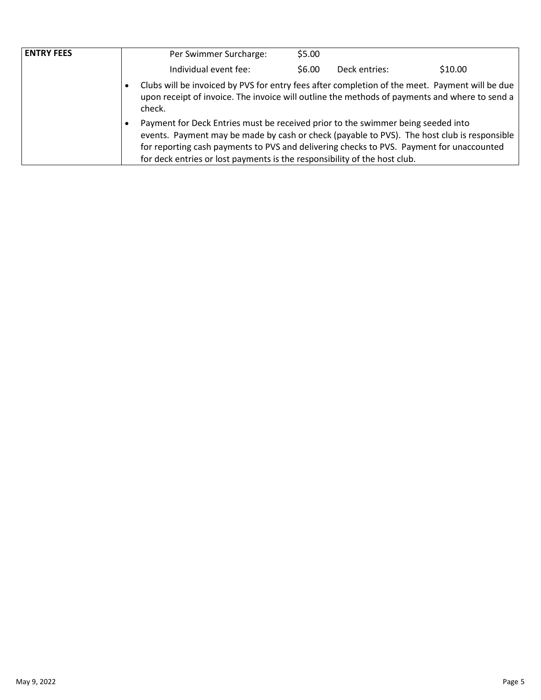| <b>ENTRY FEES</b> | Per Swimmer Surcharge:                                                                                                                                                                                                                                                                                                                                   | \$5.00 |               |         |
|-------------------|----------------------------------------------------------------------------------------------------------------------------------------------------------------------------------------------------------------------------------------------------------------------------------------------------------------------------------------------------------|--------|---------------|---------|
|                   | Individual event fee:                                                                                                                                                                                                                                                                                                                                    | \$6.00 | Deck entries: | \$10.00 |
|                   | Clubs will be invoiced by PVS for entry fees after completion of the meet. Payment will be due<br>upon receipt of invoice. The invoice will outline the methods of payments and where to send a<br>check.                                                                                                                                                |        |               |         |
|                   | Payment for Deck Entries must be received prior to the swimmer being seeded into<br>events. Payment may be made by cash or check (payable to PVS). The host club is responsible<br>for reporting cash payments to PVS and delivering checks to PVS. Payment for unaccounted<br>for deck entries or lost payments is the responsibility of the host club. |        |               |         |